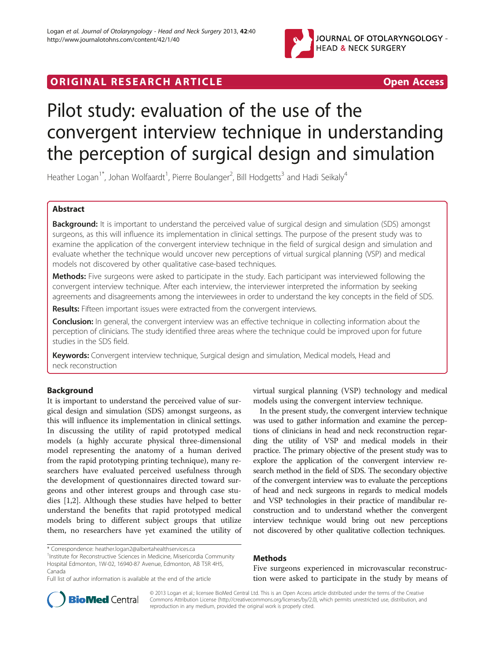

# ORIGINAL RESEARCH ARTICLE **Example 20 and Service Contract Article** Contract Open Access

# Pilot study: evaluation of the use of the convergent interview technique in understanding the perception of surgical design and simulation

Heather Logan<sup>1\*</sup>, Johan Wolfaardt<sup>1</sup>, Pierre Boulanger<sup>2</sup>, Bill Hodgetts<sup>3</sup> and Hadi Seikaly<sup>4</sup>

# Abstract

Background: It is important to understand the perceived value of surgical design and simulation (SDS) amongst surgeons, as this will influence its implementation in clinical settings. The purpose of the present study was to examine the application of the convergent interview technique in the field of surgical design and simulation and evaluate whether the technique would uncover new perceptions of virtual surgical planning (VSP) and medical models not discovered by other qualitative case-based techniques.

**Methods:** Five surgeons were asked to participate in the study. Each participant was interviewed following the convergent interview technique. After each interview, the interviewer interpreted the information by seeking agreements and disagreements among the interviewees in order to understand the key concepts in the field of SDS.

Results: Fifteen important issues were extracted from the convergent interviews.

Conclusion: In general, the convergent interview was an effective technique in collecting information about the perception of clinicians. The study identified three areas where the technique could be improved upon for future studies in the SDS field.

Keywords: Convergent interview technique, Surgical design and simulation, Medical models, Head and neck reconstruction

# Background

It is important to understand the perceived value of surgical design and simulation (SDS) amongst surgeons, as this will influence its implementation in clinical settings. In discussing the utility of rapid prototyped medical models (a highly accurate physical three-dimensional model representing the anatomy of a human derived from the rapid prototyping printing technique), many researchers have evaluated perceived usefulness through the development of questionnaires directed toward surgeons and other interest groups and through case studies [[1,2\]](#page-5-0). Although these studies have helped to better understand the benefits that rapid prototyped medical models bring to different subject groups that utilize them, no researchers have yet examined the utility of

 $<sup>1</sup>$ Institute for Reconstructive Sciences in Medicine, Misericordia Community</sup> Hospital Edmonton, 1W-02, 16940-87 Avenue, Edmonton, AB T5R 4H5, Canada

virtual surgical planning (VSP) technology and medical models using the convergent interview technique.

In the present study, the convergent interview technique was used to gather information and examine the perceptions of clinicians in head and neck reconstruction regarding the utility of VSP and medical models in their practice. The primary objective of the present study was to explore the application of the convergent interview research method in the field of SDS. The secondary objective of the convergent interview was to evaluate the perceptions of head and neck surgeons in regards to medical models and VSP technologies in their practice of mandibular reconstruction and to understand whether the convergent interview technique would bring out new perceptions not discovered by other qualitative collection techniques.

# Methods

Five surgeons experienced in microvascular reconstruction were asked to participate in the study by means of



© 2013 Logan et al.; licensee BioMed Central Ltd. This is an Open Access article distributed under the terms of the Creative Commons Attribution License [\(http://creativecommons.org/licenses/by/2.0\)](http://creativecommons.org/licenses/by/2.0), which permits unrestricted use, distribution, and reproduction in any medium, provided the original work is properly cited.

<sup>\*</sup> Correspondence: [heather.logan2@albertahealthservices.ca](mailto:heather.logan2@albertahealthservices.ca) <sup>1</sup>

Full list of author information is available at the end of the article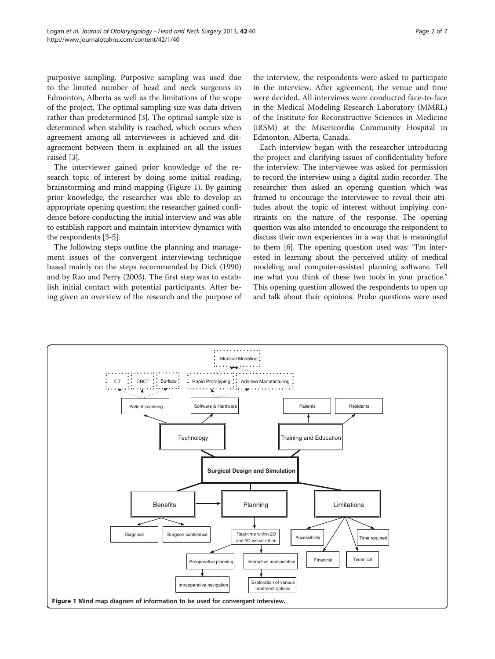purposive sampling. Purposive sampling was used due to the limited number of head and neck surgeons in Edmonton, Alberta as well as the limitations of the scope of the project. The optimal sampling size was data-driven rather than predetermined [[3\]](#page-5-0). The optimal sample size is determined when stability is reached, which occurs when agreement among all interviewees is achieved and disagreement between them is explained on all the issues raised [[3\]](#page-5-0).

The interviewer gained prior knowledge of the research topic of interest by doing some initial reading, brainstorming and mind-mapping (Figure 1). By gaining prior knowledge, the researcher was able to develop an appropriate opening question; the researcher gained confidence before conducting the initial interview and was able to establish rapport and maintain interview dynamics with the respondents [\[3](#page-5-0)-[5\]](#page-6-0).

The following steps outline the planning and management issues of the convergent interviewing technique based mainly on the steps recommended by Dick (1990) and by Rao and Perry (2003). The first step was to establish initial contact with potential participants. After being given an overview of the research and the purpose of the interview, the respondents were asked to participate in the interview. After agreement, the venue and time were decided. All interviews were conducted face-to-face in the Medical Modeling Research Laboratory (MMRL) of the Institute for Reconstructive Sciences in Medicine (iRSM) at the Misericordia Community Hospital in Edmonton, Alberta, Canada.

Each interview began with the researcher introducing the project and clarifying issues of confidentiality before the interview. The interviewee was asked for permission to record the interview using a digital audio recorder. The researcher then asked an opening question which was framed to encourage the interviewee to reveal their attitudes about the topic of interest without implying constraints on the nature of the response. The opening question was also intended to encourage the respondent to discuss their own experiences in a way that is meaningful to them [[6](#page-6-0)]. The opening question used was: "I'm interested in learning about the perceived utility of medical modeling and computer-assisted planning software. Tell me what you think of these two tools in your practice." This opening question allowed the respondents to open up and talk about their opinions. Probe questions were used

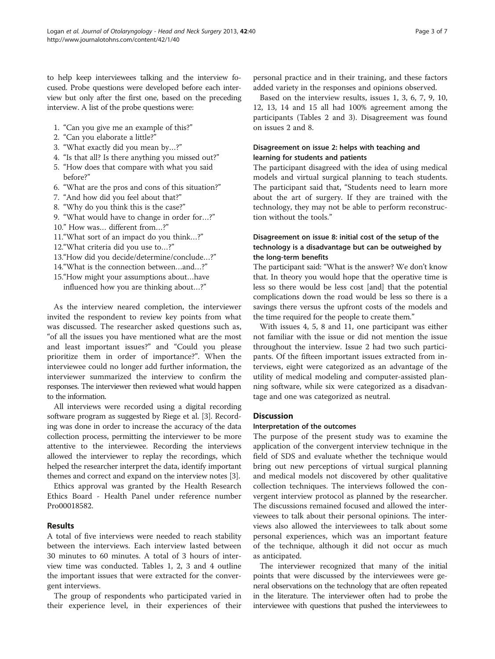to help keep interviewees talking and the interview focused. Probe questions were developed before each interview but only after the first one, based on the preceding interview. A list of the probe questions were:

- 1. "Can you give me an example of this?"
- 2. "Can you elaborate a little?"
- 3. "What exactly did you mean by…?"
- 4. "Is that all? Is there anything you missed out?"
- 5. "How does that compare with what you said before?"
- 6. "What are the pros and cons of this situation?"
- 7. "And how did you feel about that?"
- 8. "Why do you think this is the case?"
- 9. "What would have to change in order for…?"
- 10." How was… different from…?"
- 11."What sort of an impact do you think…?"
- 12."What criteria did you use to…?"
- 13."How did you decide/determine/conclude…?"

14."What is the connection between…and…?"

15."How might your assumptions about…have influenced how you are thinking about…?"

As the interview neared completion, the interviewer invited the respondent to review key points from what was discussed. The researcher asked questions such as, "of all the issues you have mentioned what are the most and least important issues?" and "Could you please prioritize them in order of importance?". When the interviewee could no longer add further information, the interviewer summarized the interview to confirm the responses. The interviewer then reviewed what would happen to the information.

All interviews were recorded using a digital recording software program as suggested by Riege et al. [[3\]](#page-5-0). Recording was done in order to increase the accuracy of the data collection process, permitting the interviewer to be more attentive to the interviewee. Recording the interviews allowed the interviewer to replay the recordings, which helped the researcher interpret the data, identify important themes and correct and expand on the interview notes [\[3\]](#page-5-0).

Ethics approval was granted by the Health Research Ethics Board - Health Panel under reference number Pro00018582.

# Results

A total of five interviews were needed to reach stability between the interviews. Each interview lasted between 30 minutes to 60 minutes. A total of 3 hours of interview time was conducted. Tables [1, 2](#page-3-0), [3](#page-4-0) and [4](#page-4-0) outline the important issues that were extracted for the convergent interviews.

The group of respondents who participated varied in their experience level, in their experiences of their

personal practice and in their training, and these factors added variety in the responses and opinions observed.

Based on the interview results, issues 1, 3, 6, 7, 9, 10, 12, 13, 14 and 15 all had 100% agreement among the participants (Tables [2](#page-3-0) and [3\)](#page-4-0). Disagreement was found on issues 2 and 8.

# Disagreement on issue 2: helps with teaching and learning for students and patients

The participant disagreed with the idea of using medical models and virtual surgical planning to teach students. The participant said that, "Students need to learn more about the art of surgery. If they are trained with the technology, they may not be able to perform reconstruction without the tools."

# Disagreement on issue 8: initial cost of the setup of the technology is a disadvantage but can be outweighed by the long-term benefits

The participant said: "What is the answer? We don't know that. In theory you would hope that the operative time is less so there would be less cost [and] that the potential complications down the road would be less so there is a savings there versus the upfront costs of the models and the time required for the people to create them."

With issues 4, 5, 8 and 11, one participant was either not familiar with the issue or did not mention the issue throughout the interview. Issue 2 had two such participants. Of the fifteen important issues extracted from interviews, eight were categorized as an advantage of the utility of medical modeling and computer-assisted planning software, while six were categorized as a disadvantage and one was categorized as neutral.

## **Discussion**

# Interpretation of the outcomes

The purpose of the present study was to examine the application of the convergent interview technique in the field of SDS and evaluate whether the technique would bring out new perceptions of virtual surgical planning and medical models not discovered by other qualitative collection techniques. The interviews followed the convergent interview protocol as planned by the researcher. The discussions remained focused and allowed the interviewees to talk about their personal opinions. The interviews also allowed the interviewees to talk about some personal experiences, which was an important feature of the technique, although it did not occur as much as anticipated.

The interviewer recognized that many of the initial points that were discussed by the interviewees were general observations on the technology that are often repeated in the literature. The interviewer often had to probe the interviewee with questions that pushed the interviewees to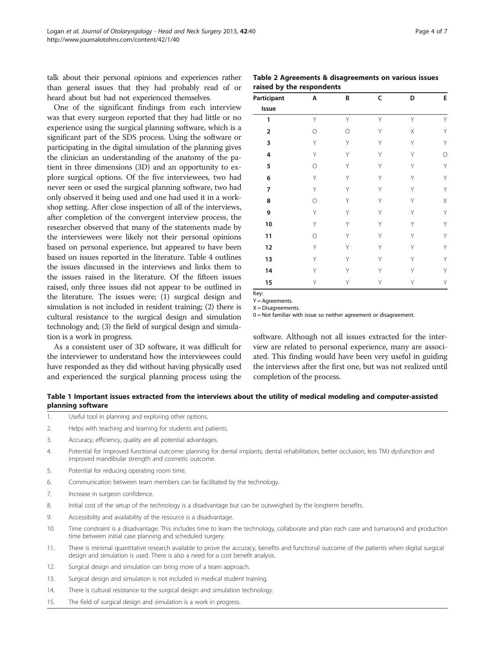<span id="page-3-0"></span>talk about their personal opinions and experiences rather than general issues that they had probably read of or heard about but had not experienced themselves.

One of the significant findings from each interview was that every surgeon reported that they had little or no experience using the surgical planning software, which is a significant part of the SDS process. Using the software or participating in the digital simulation of the planning gives the clinician an understanding of the anatomy of the patient in three dimensions (3D) and an opportunity to explore surgical options. Of the five interviewees, two had never seen or used the surgical planning software, two had only observed it being used and one had used it in a workshop setting. After close inspection of all of the interviews, after completion of the convergent interview process, the researcher observed that many of the statements made by the interviewees were likely not their personal opinions based on personal experience, but appeared to have been based on issues reported in the literature. Table [4](#page-4-0) outlines the issues discussed in the interviews and links them to the issues raised in the literature. Of the fifteen issues raised, only three issues did not appear to be outlined in the literature. The issues were; (1) surgical design and simulation is not included in resident training; (2) there is cultural resistance to the surgical design and simulation technology and; (3) the field of surgical design and simulation is a work in progress.

As a consistent user of 3D software, it was difficult for the interviewer to understand how the interviewees could have responded as they did without having physically used and experienced the surgical planning process using the

Table 2 Agreements & disagreements on various issues raised by the respondents

| Participant             | A          | B          | c | D | E           |
|-------------------------|------------|------------|---|---|-------------|
| Issue                   |            |            |   |   |             |
| 1                       | Y          | Y          | Y | Y | Y           |
| $\overline{\mathbf{2}}$ | $\bigcirc$ | $\bigcirc$ | Υ | Χ | Υ           |
| 3                       | Y          | Υ          | Υ | Y | Υ           |
| 4                       | Y          | Y          | Y | Υ | $\bigcirc$  |
| 5                       | $\bigcirc$ | Υ          | Υ | Y | Υ           |
| 6                       | Y          | Υ          | Υ | Y | Υ           |
| 7                       | Y          | Υ          | Υ | Y | Υ           |
| 8                       | $\bigcirc$ | Υ          | Υ | Y | $\mathsf X$ |
| 9                       | Y          | Υ          | Υ | Y | Υ           |
| $10\,$                  | Y          | Υ          | Υ | Y | Υ           |
| 11                      | $\circ$    | Υ          | Υ | Υ | Υ           |
| 12                      | Y          | Υ          | Υ | Y | Υ           |
| 13                      | Υ          | Υ          | Υ | Y | Y           |
| 14                      | Υ          | Υ          | Υ | Y | Υ           |
| 15                      | Υ          | Υ          | Y | Y | Υ           |

Key:  $Y =$  Agreements.

X = Disagreements.

0 = Not familiar with issue so neither agreement or disagreement.

software. Although not all issues extracted for the interview are related to personal experience, many are associated. This finding would have been very useful in guiding the interviews after the first one, but was not realized until completion of the process.

# Table 1 Important issues extracted from the interviews about the utility of medical modeling and computer-assisted planning software

- 1. Useful tool in planning and exploring other options.
- 2. Helps with teaching and learning for students and patients.
- 3. Accuracy, efficiency, quality are all potential advantages.
- 4. Potential for improved functional outcome: planning for dental implants, dental rehabilitation, better occlusion, less TMJ dysfunction and improved mandibular strength and cosmetic outcome.
- 5. Potential for reducing operating room time.
- 6. Communication between team members can be facilitated by the technology.
- 7. Increase in surgeon confidence.
- 8. Initial cost of the setup of the technology is a disadvantage but can be outweighed by the longterm benefits.
- 9. Accessibility and availability of the resource is a disadvantage.
- 10. Time constraint is a disadvantage. This includes time to learn the technology, collaborate and plan each case and turnaround and production time between initial case planning and scheduled surgery.
- 11. There is minimal quantitative research available to prove the accuracy, benefits and functional outcome of the patients when digital surgical design and simulation is used. There is also a need for a cost benefit analysis.
- 12. Surgical design and simulation can bring more of a team approach.
- 13. Surgical design and simulation is not included in medical student training.
- 14. There is cultural resistance to the surgical design and simulation technology.
- 15. The field of surgical design and simulation is a work in progress.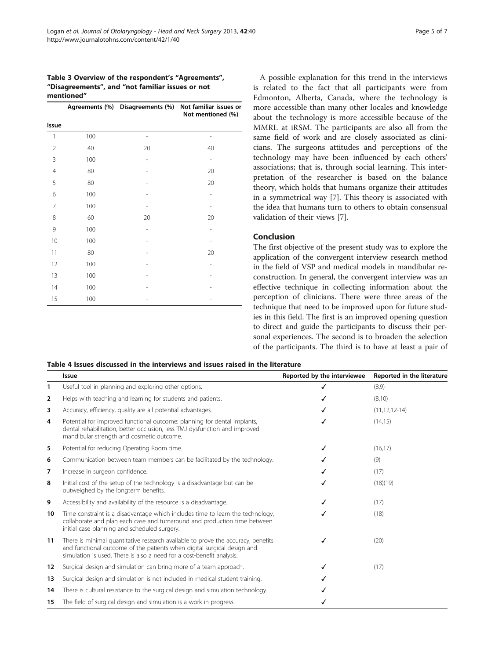## <span id="page-4-0"></span>Table 3 Overview of the respondent's "Agreements", "Disagreements", and "not familiar issues or not mentioned"

|       |     | Agreements (%) Disagreements (%) | Not familiar issues or<br>Not mentioned (%) |
|-------|-----|----------------------------------|---------------------------------------------|
| Issue |     |                                  |                                             |
| 1     | 100 |                                  |                                             |
| 2     | 40  | 20                               | 40                                          |
| 3     | 100 |                                  |                                             |
| 4     | 80  |                                  | 20                                          |
| 5     | 80  |                                  | 20                                          |
| 6     | 100 |                                  |                                             |
| 7     | 100 |                                  |                                             |
| 8     | 60  | 20                               | 20                                          |
| 9     | 100 |                                  |                                             |
| 10    | 100 |                                  |                                             |
| 11    | 80  |                                  | 20                                          |
| 12    | 100 |                                  |                                             |
| 13    | 100 |                                  |                                             |
| 14    | 100 |                                  |                                             |
| 15    | 100 |                                  |                                             |

A possible explanation for this trend in the interviews is related to the fact that all participants were from Edmonton, Alberta, Canada, where the technology is more accessible than many other locales and knowledge about the technology is more accessible because of the MMRL at iRSM. The participants are also all from the same field of work and are closely associated as clinicians. The surgeons attitudes and perceptions of the technology may have been influenced by each others' associations; that is, through social learning. This interpretation of the researcher is based on the balance theory, which holds that humans organize their attitudes in a symmetrical way [\[7](#page-6-0)]. This theory is associated with the idea that humans turn to others to obtain consensual validation of their views [\[7\]](#page-6-0).

## Conclusion

The first objective of the present study was to explore the application of the convergent interview research method in the field of VSP and medical models in mandibular reconstruction. In general, the convergent interview was an effective technique in collecting information about the perception of clinicians. There were three areas of the technique that need to be improved upon for future studies in this field. The first is an improved opening question to direct and guide the participants to discuss their personal experiences. The second is to broaden the selection of the participants. The third is to have at least a pair of

Table 4 Issues discussed in the interviews and issues raised in the literature

|                | Issue                                                                                                                                                                                                                                | Reported by the interviewee | Reported in the literature |
|----------------|--------------------------------------------------------------------------------------------------------------------------------------------------------------------------------------------------------------------------------------|-----------------------------|----------------------------|
| 1              | Useful tool in planning and exploring other options.                                                                                                                                                                                 |                             | (8,9)                      |
| $\overline{2}$ | Helps with teaching and learning for students and patients.                                                                                                                                                                          |                             | (8,10)                     |
| 3              | Accuracy, efficiency, quality are all potential advantages.                                                                                                                                                                          |                             | $(11, 12, 12 - 14)$        |
| 4              | Potential for improved functional outcome: planning for dental implants,<br>dental rehabilitation, better occlusion, less TMJ dysfunction and improved<br>mandibular strength and cosmetic outcome.                                  |                             | (14, 15)                   |
| 5              | Potential for reducing Operating Room time.                                                                                                                                                                                          |                             | (16, 17)                   |
| 6              | Communication between team members can be facilitated by the technology.                                                                                                                                                             |                             | (9)                        |
| 7              | Increase in surgeon confidence.                                                                                                                                                                                                      |                             | (17)                       |
| 8              | Initial cost of the setup of the technology is a disadvantage but can be<br>outweighed by the longterm benefits.                                                                                                                     |                             | (18)(19)                   |
| 9              | Accessibility and availability of the resource is a disadvantage.                                                                                                                                                                    |                             | (17)                       |
| 10             | Time constraint is a disadvantage which includes time to learn the technology,<br>collaborate and plan each case and turnaround and production time between<br>initial case planning and scheduled surgery.                          | ℐ                           | (18)                       |
| 11             | There is minimal quantitative research available to prove the accuracy, benefits<br>and functional outcome of the patients when digital surgical design and<br>simulation is used. There is also a need for a cost-benefit analysis. |                             | (20)                       |
| 12             | Surgical design and simulation can bring more of a team approach.                                                                                                                                                                    |                             | (17)                       |
| 13             | Surgical design and simulation is not included in medical student training.                                                                                                                                                          |                             |                            |
| 14             | There is cultural resistance to the surgical design and simulation technology.                                                                                                                                                       |                             |                            |
| 15             | The field of surgical design and simulation is a work in progress.                                                                                                                                                                   |                             |                            |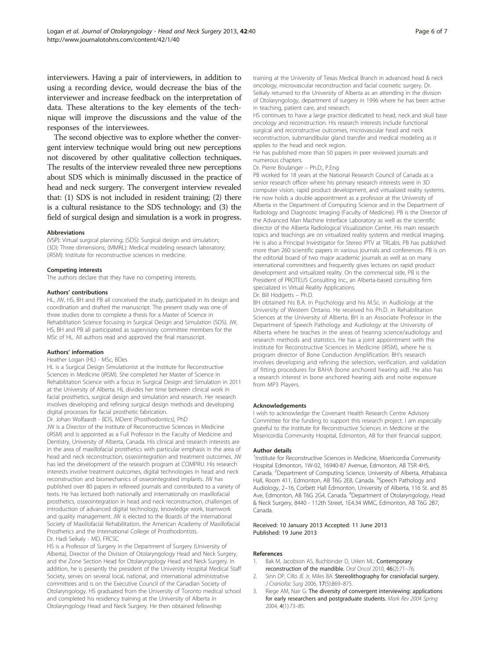<span id="page-5-0"></span>interviewers. Having a pair of interviewers, in addition to using a recording device, would decrease the bias of the interviewer and increase feedback on the interpretation of data. These alterations to the key elements of the technique will improve the discussions and the value of the responses of the interviewees.

The second objective was to explore whether the convergent interview technique would bring out new perceptions not discovered by other qualitative collection techniques. The results of the interview revealed three new perceptions about SDS which is minimally discussed in the practice of head and neck surgery. The convergent interview revealed that: (1) SDS is not included in resident training; (2) there is a cultural resistance to the SDS technology; and (3) the field of surgical design and simulation is a work in progress.

## Abbreviations

(VSP): Virtual surgical planning; (SDS): Surgical design and simulation; (3D): Three dimensions; (MMRL): Medical modeling research laboratory; (iRSM): Institute for reconstructive sciences in medicine.

#### Competing interests

The authors declare that they have no competing interests.

#### Authors' contributions

HL, JW, HS, BH and PB all conceived the study, participated in its design and coordination and drafted the manuscript. The present study was one of three studies done to complete a thesis for a Master of Science in Rehabilitation Science focusing in Surgical Design and Simulation (SDS). JW, HS, BH and PB all participated as supervisory committee members for the MSc of HL. All authors read and approved the final manuscript.

#### Authors' information

#### Heather Logan (HL) - MSc, BDes

HL is a Surgical Design Simulationist at the Institute for Reconstructive Sciences in Medicine (iRSM). She completed her Master of Science in Rehabilitation Science with a focus in Surgical Design and Simulation in 2011 at the University of Alberta. HL divides her time between clinical work in facial prosthetics, surgical design and simulation and research. Her research involves developing and refining surgical design methods and developing digital processes for facial prosthetic fabrication.

Dr. Johan Wolfaardt - BDS, MDent (Prosthodontics), PhD

JW is a Director of the Institute of Reconstructive Sciences in Medicine (iRSM) and is appointed as a Full Professor in the Faculty of Medicine and Dentistry, University of Alberta, Canada. His clinical and research interests are in the area of maxillofacial prosthetics with particular emphasis in the area of head and neck reconstruction, osseointegration and treatment outcomes. JW has led the development of the research program at COMPRU. His research interests involve treatment outcomes, digital technologies in head and neck reconstruction and biomechanics of osseointegrated implants. JW has published over 80 papers in refereed journals and contributed to a variety of texts. He has lectured both nationally and internationally on maxillofacial prosthetics, osseointegration in head and neck reconstruction, challenges of introduction of advanced digital technology, knowledge work, teamwork and quality management. JW is elected to the Boards of the International Society of Maxillofacial Rehabilitation, the American Academy of Maxillofacial Prosthetics and the International College of Prosthodontists. Dr. Hadi Seikaly - MD, FRCSC

HS is a Professor of Surgery in the Department of Surgery (University of Alberta), Director of the Division of Otolaryngology Head and Neck Surgery, and the Zone Section Head for Otolaryngology Head and Neck Surgery. In addition, he is presently the president of the University Hospital Medical Staff Society, serves on several local, national, and international administrative committees and is on the Executive Council of the Canadian Society of Otolaryngology. HS graduated from the University of Toronto medical school and completed his residency training at the University of Alberta in Otolaryngology Head and Neck Surgery. He then obtained fellowship

training at the University of Texas Medical Branch in advanced head & neck oncology, microvascular reconstruction and facial cosmetic surgery. Dr. Seikaly returned to the University of Alberta as an attending in the division of Otolaryngology, department of surgery in 1996 where he has been active in teaching, patient care, and research.

HS continues to have a large practice dedicated to head, neck and skull base oncology and reconstruction. His research interests include functional surgical and reconstructive outcomes, microvascular head and neck reconstruction, submandibular gland transfer and medical modeling as it applies to the head and neck region.

He has published more than 50 papers in peer reviewed journals and numerous chapters.

## Dr. Pierre Boulanger – Ph.D., P.Eng

PB worked for 18 years at the National Research Council of Canada as a senior research officer where his primary research interests were in 3D computer vision, rapid product development, and virtualized reality systems. He now holds a double appointment as a professor at the University of Alberta in the Department of Computing Science and in the Department of Radiology and Diagnostic Imaging (Faculty of Medicine). PB is the Director of the Advanced Man Machine Interface Laboratory as well as the scientific director of the Alberta Radiological Visualization Center. His main research topics and teachings are on virtualized reality systems and medical imaging. He is also a Principal Investigator for Stereo IPTV at TRLabs. PB has published more than 260 scientific papers in various journals and conferences. PB is on the editorial board of two major academic journals as well as on many international committees and frequently gives lectures on rapid product development and virtualized reality. On the commercial side, PB is the President of PROTEUS Consulting Inc., an Alberta-based consulting firm specialized in Virtual Reality Applications. Dr. Bill Hodgetts – Ph.D.

BH obtained his B.A. in Psychology and his M.Sc. in Audiology at the University of Western Ontario. He received his Ph.D. in Rehabilitation Sciences at the University of Alberta. BH is an Associate Professor in the Department of Speech Pathology and Audiology at the University of Alberta where he teaches in the areas of hearing science/audiology and research methods and statistics. He has a joint appointment with the Institute for Reconstructive Sciences in Medicine (iRSM), where he is program director of Bone Conduction Amplification. BH's research involves developing and refining the selection, verification, and validation of fitting procedures for BAHA (bone anchored hearing aid). He also has a research interest in bone anchored hearing aids and noise exposure from MP3 Players.

#### Acknowledgements

I wish to acknowledge the Covenant Health Research Centre Advisory Committee for the funding to support this research project. I am especially grateful to the Institute for Reconstructive Sciences in Medicine at the Misericordia Community Hospital, Edmonton, AB for their financial support.

#### Author details

<sup>1</sup>Institute for Reconstructive Sciences in Medicine, Misericordia Community Hospital Edmonton, 1W-02, 16940-87 Avenue, Edmonton, AB T5R 4H5, Canada. <sup>2</sup>Department of Computing Science, University of Alberta, Athabasca Hall, Room 411, Edmonton, AB T6G 2E8, Canada. <sup>3</sup>Speech Pathology and Audiology, 2–16, Corbett Hall Edmonton, University of Alberta, 116 St. and 85 Ave, Edmonton, AB T6G 2G4, Canada. <sup>4</sup>Department of Otolaryngology, Head & Neck Surgery, 8440 - 112th Street, 1E4.34 WMC, Edmonton, AB T6G 2B7, Canada.

### Received: 10 January 2013 Accepted: 11 June 2013 Published: 19 June 2013

#### References

- 1. Bak M, Jacobson AS, Buchbinder D, Urken ML: Contemporary reconstruction of the mandible. Oral Oncol 2010, 46(2):71–76.
- 2. Sinn DP, Cillo JE Jr, Miles BA: Stereolithography for craniofacial surgery. J Craniofac Surg 2006, 17(5):869–875.
- 3. Riege AM, Nair G: The diversity of convergent interviewing: applications for early researchers and postgraduate students. Mark Rev 2004 Spring 2004, 4(1):73–85.